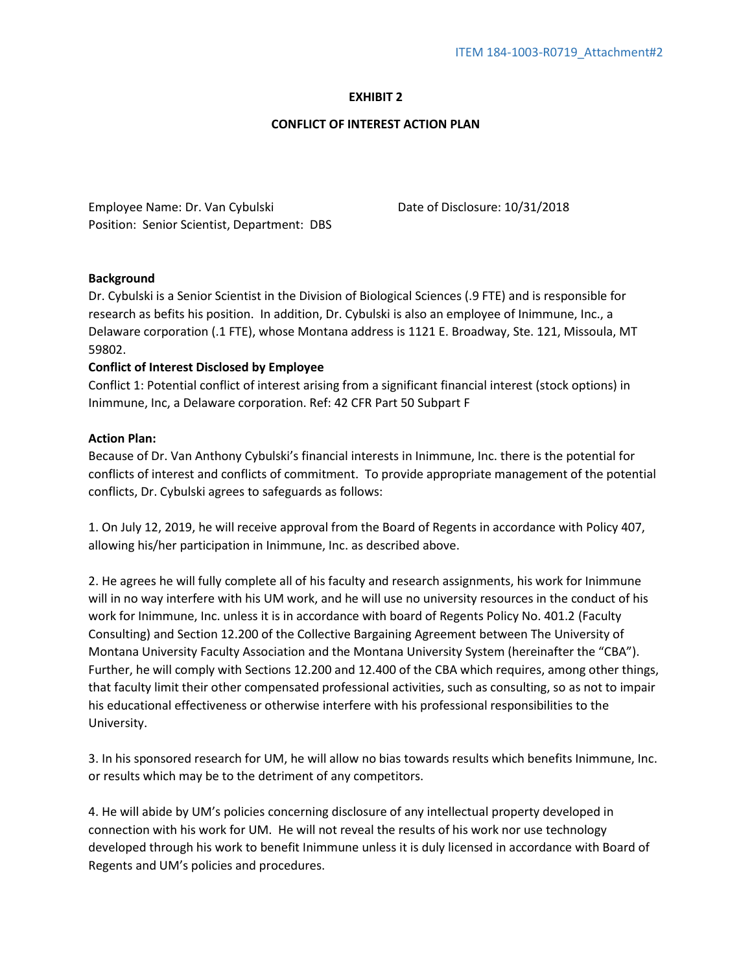# **EXHIBIT 2**

### **CONFLICT OF INTEREST ACTION PLAN**

 Position: Senior Scientist, Department: DBS Employee Name: Dr. Van Cybulski Date of Disclosure: 10/31/2018

## **Background**

Dr. Cybulski is a Senior Scientist in the Division of Biological Sciences (.9 FTE) and is responsible for research as befits his position. In addition, Dr. Cybulski is also an employee of Inimmune, Inc., a Delaware corporation (.1 FTE), whose Montana address is 1121 E. Broadway, Ste. 121, Missoula, MT 59802.

## **Conflict of Interest Disclosed by Employee**

Conflict 1: Potential conflict of interest arising from a significant financial interest (stock options) in Inimmune, Inc, a Delaware corporation. Ref: 42 CFR Part 50 Subpart F

## **Action Plan:**

Because of Dr. Van Anthony Cybulski's financial interests in Inimmune, Inc. there is the potential for conflicts of interest and conflicts of commitment. To provide appropriate management of the potential conflicts, Dr. Cybulski agrees to safeguards as follows:

 1. On July 12, 2019, he will receive approval from the Board of Regents in accordance with Policy 407, allowing his/her participation in Inimmune, Inc. as described above.

2. He agrees he will fully complete all of his faculty and research assignments, his work for Inimmune will in no way interfere with his UM work, and he will use no university resources in the conduct of his work for Inimmune, Inc. unless it is in accordance with board of Regents Policy No. 401.2 (Faculty Consulting) and Section 12.200 of the Collective Bargaining Agreement between The University of Montana University Faculty Association and the Montana University System (hereinafter the "CBA"). Further, he will comply with Sections 12.200 and 12.400 of the CBA which requires, among other things, that faculty limit their other compensated professional activities, such as consulting, so as not to impair his educational effectiveness or otherwise interfere with his professional responsibilities to the University.

3. In his sponsored research for UM, he will allow no bias towards results which benefits Inimmune, Inc. or results which may be to the detriment of any competitors.

4. He will abide by UM's policies concerning disclosure of any intellectual property developed in connection with his work for UM. He will not reveal the results of his work nor use technology developed through his work to benefit Inimmune unless it is duly licensed in accordance with Board of Regents and UM's policies and procedures.